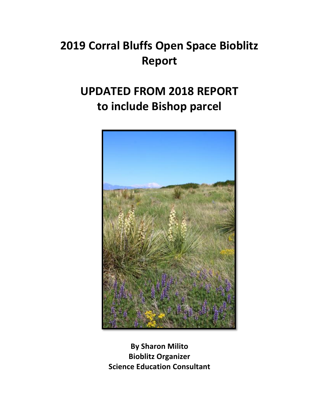# **2019 Corral Bluffs Open Space Bioblitz Report**

## **UPDATED FROM 2018 REPORT** to include Bishop parcel



**By Sharon Milito Bioblitz Organizer Science Education Consultant**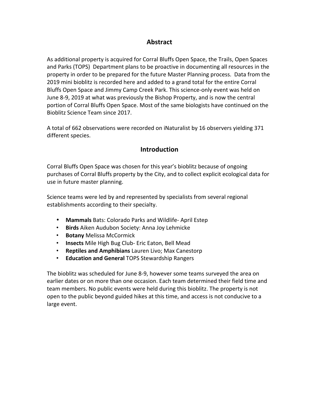### **Abstract**

As additional property is acquired for Corral Bluffs Open Space, the Trails, Open Spaces and Parks (TOPS) Department plans to be proactive in documenting all resources in the property in order to be prepared for the future Master Planning process. Data from the 2019 mini bioblitz is recorded here and added to a grand total for the entire Corral Bluffs Open Space and Jimmy Camp Creek Park. This science-only event was held on June 8-9, 2019 at what was previously the Bishop Property, and is now the central portion of Corral Bluffs Open Space. Most of the same biologists have continued on the Bioblitz Science Team since 2017.

A total of 662 observations were recorded on iNaturalist by 16 observers yielding 371 different species.

## **Introduction**

Corral Bluffs Open Space was chosen for this year's bioblitz because of ongoing purchases of Corral Bluffs property by the City, and to collect explicit ecological data for use in future master planning.

Science teams were led by and represented by specialists from several regional establishments according to their specialty.

- Mammals Bats: Colorado Parks and Wildlife- April Estep
- **Birds** Aiken Audubon Society: Anna Joy Lehmicke
- **Botany** Melissa McCormick
- **Insects** Mile High Bug Club- Eric Eaton, Bell Mead
- **Reptiles and Amphibians** Lauren Livo; Max Canestorp
- **Education and General** TOPS Stewardship Rangers

The bioblitz was scheduled for June 8-9, however some teams surveyed the area on earlier dates or on more than one occasion. Each team determined their field time and team members. No public events were held during this bioblitz. The property is not open to the public beyond guided hikes at this time, and access is not conducive to a large event.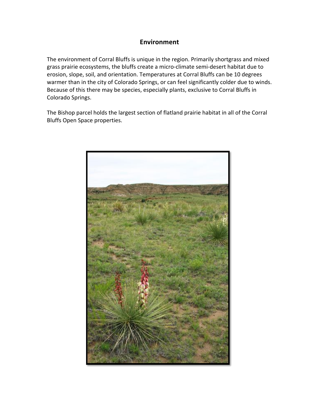## **Environment**

The environment of Corral Bluffs is unique in the region. Primarily shortgrass and mixed grass prairie ecosystems, the bluffs create a micro-climate semi-desert habitat due to erosion, slope, soil, and orientation. Temperatures at Corral Bluffs can be 10 degrees warmer than in the city of Colorado Springs, or can feel significantly colder due to winds. Because of this there may be species, especially plants, exclusive to Corral Bluffs in Colorado Springs.

The Bishop parcel holds the largest section of flatland prairie habitat in all of the Corral Bluffs Open Space properties.

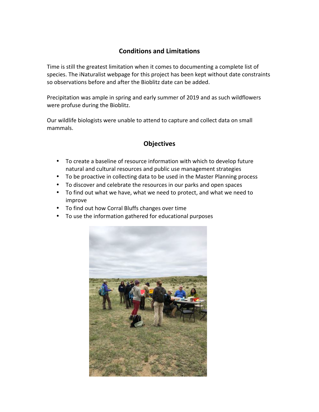## **Conditions and Limitations**

Time is still the greatest limitation when it comes to documenting a complete list of species. The iNaturalist webpage for this project has been kept without date constraints so observations before and after the Bioblitz date can be added.

Precipitation was ample in spring and early summer of 2019 and as such wildflowers were profuse during the Bioblitz.

Our wildlife biologists were unable to attend to capture and collect data on small mammals.

## **Objectives**

- To create a baseline of resource information with which to develop future natural and cultural resources and public use management strategies
- To be proactive in collecting data to be used in the Master Planning process
- To discover and celebrate the resources in our parks and open spaces
- To find out what we have, what we need to protect, and what we need to improve
- To find out how Corral Bluffs changes over time
- To use the information gathered for educational purposes

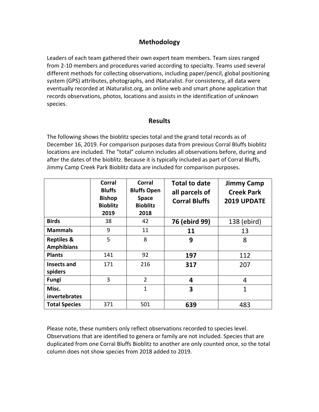## **Methodology**

Leaders of each team gathered their own expert team members. Team sizes ranged from 2-10 members and procedures varied according to specialty. Teams used several different methods for collecting observations, including paper/pencil, global positioning system (GPS) attributes, photographs, and iNaturalist. For consistency, all data were eventually recorded at iNaturalist.org, an online web and smart phone application that records observations, photos, locations and assists in the identification of unknown species.

#### **Results**

The following shows the bioblitz species total and the grand total records as of December 16, 2019. For comparison purposes data from previous Corral Bluffs bioblitz locations are included. The "total" column includes all observations before, during and after the dates of the bioblitz. Because it is typically included as part of Corral Bluffs, Jimmy Camp Creek Park Bioblitz data are included for comparison purposes.

|                                            | <b>Corral</b><br><b>Bluffs</b><br><b>Bishop</b><br><b>Bioblitz</b><br>2019 | Corral<br><b>Bluffs Open</b><br><b>Space</b><br><b>Bioblitz</b><br>2018 | <b>Total to date</b><br>all parcels of<br><b>Corral Bluffs</b> | <b>Jimmy Camp</b><br><b>Creek Park</b><br>2019 UPDATE |
|--------------------------------------------|----------------------------------------------------------------------------|-------------------------------------------------------------------------|----------------------------------------------------------------|-------------------------------------------------------|
| <b>Birds</b>                               | 38                                                                         | 42                                                                      | 76 (ebird 99)                                                  | 138 (ebird)                                           |
| <b>Mammals</b>                             | 9                                                                          | 11                                                                      | 11                                                             | 13                                                    |
| <b>Reptiles &amp;</b><br><b>Amphibians</b> | 5                                                                          | 8                                                                       | 9                                                              | 8                                                     |
| <b>Plants</b>                              | 141                                                                        | 92                                                                      | 197                                                            | 112                                                   |
| Insects and<br>spiders                     | 171                                                                        | 216                                                                     | 317                                                            | 207                                                   |
| <b>Fungi</b>                               | 3                                                                          | $\overline{2}$                                                          | 4                                                              | 4                                                     |
| Misc.<br>invertebrates                     |                                                                            | $\overline{1}$                                                          | 3                                                              | $\overline{1}$                                        |
| <b>Total Species</b>                       | 371                                                                        | 501                                                                     | 639                                                            | 483                                                   |

Please note, these numbers only reflect observations recorded to species level. Observations that are identified to genera or family are not included. Species that are duplicated from one Corral Bluffs Bioblitz to another are only counted once, so the total column does not show species from 2018 added to 2019.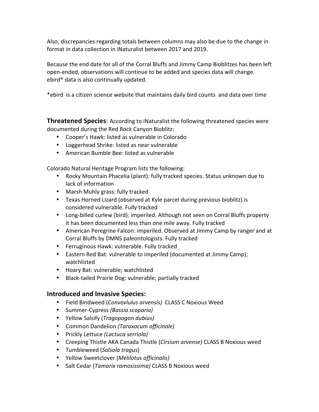Also, discrepancies regarding totals between columns may also be due to the change in format in data collection in iNaturalist between 2017 and 2019.

Because the end date for all of the Corral Bluffs and Jimmy Camp Bioblitzes has been left open-ended, observations will continue to be added and species data will change. ebird\* data is also continually updated.

\*ebird is a citizen science website that maintains daily bird counts and data over time

**Threatened Species:** According to iNaturalist the following threatened species were documented during the Red Rock Canyon Bioblitz:

- Cooper's Hawk: listed as vulnerable in Colorado
- Loggerhead Shrike: listed as near vulnerable
- American Bumble Bee: listed as vulnerable

Colorado Natural Heritage Program lists the following:

- Rocky Mountain Phacelia (plant): fully tracked species. Status unknown due to lack of information
- Marsh Muhly grass: fully tracked
- Texas Horned Lizard (observed at Kyle parcel during previous bioblitz) is considered vulnerable. Fully tracked
- Long-billed curlew (bird): imperiled. Although not seen on Corral Bluffs property it has been documented less than one mile away. Fully tracked
- American Peregrine Falcon: imperiled. Observed at Jimmy Camp by ranger and at Corral Bluffs by DMNS paleontologists. Fully tracked
- Ferruginous Hawk: vulnerable. Fully tracked
- Eastern Red Bat: vulnerable to imperiled (documented at Jimmy Camp); watchlisted
- Hoary Bat: vulnerable; watchlisted
- Black-tailed Prairie Dog: vulnerable; partially tracked

### **Introduced and Invasive Species:**

- Field Bindweed (*Convovlulus arvensis*) CLASS C Noxious Weed
- Summer-Cypress *(Bassia scoparia)*
- Yellow Salsify (*Tragopogon dubius)*
- Common Dandelion *(Taraxacum officinale)*
- Prickly Lettuce *(Lactuca serriola)*
- Creeping Thistle AKA Canada Thistle (*Cirsium arvense*) CLASS B Noxious weed
- Tumbleweed (*Salsola tragus*)
- Yellow Sweetclover (*Melilotus officinalis)*
- Salt Cedar (*Tamarix ramosissima*) CLASS B Noxious weed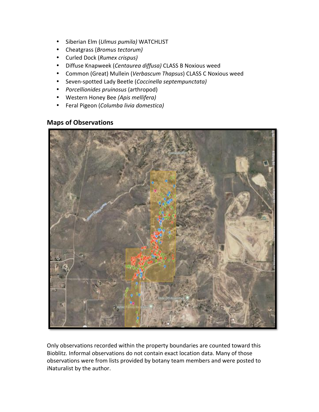- Siberian Elm (*Ulmus pumila)* WATCHLIST
- Cheatgrass (*Bromus tectorum)*
- Curled Dock (*Rumex crispus)*
- Diffuse Knapweek (Centaurea diffusa) CLASS B Noxious weed
- Common (Great) Mullein (*Verbascum Thapsus*) CLASS C Noxious weed
- Seven-spotted Lady Beetle (*Coccinella septempunctata)*
- *Porcellionides pruinosus* (arthropod)
- Western Honey Bee *(Apis mellifera)*
- Feral Pigeon (*Columba livia domestica)*

#### **Maps of Observations**



Only observations recorded within the property boundaries are counted toward this Bioblitz. Informal observations do not contain exact location data. Many of those observations were from lists provided by botany team members and were posted to iNaturalist by the author.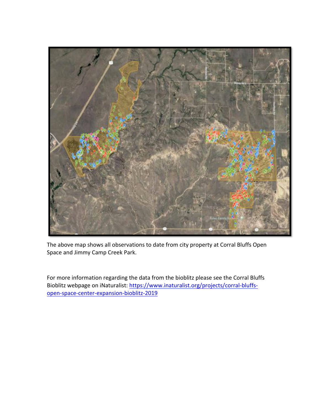

The above map shows all observations to date from city property at Corral Bluffs Open Space and Jimmy Camp Creek Park.

For more information regarding the data from the bioblitz please see the Corral Bluffs Bioblitz webpage on iNaturalist: https://www.inaturalist.org/projects/corral-bluffsopen-space-center-expansion-bioblitz-2019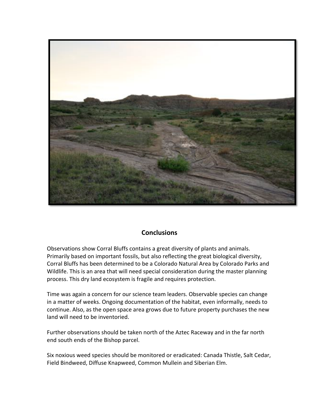

### **Conclusions**

Observations show Corral Bluffs contains a great diversity of plants and animals. Primarily based on important fossils, but also reflecting the great biological diversity, Corral Bluffs has been determined to be a Colorado Natural Area by Colorado Parks and Wildlife. This is an area that will need special consideration during the master planning process. This dry land ecosystem is fragile and requires protection.

Time was again a concern for our science team leaders. Observable species can change in a matter of weeks. Ongoing documentation of the habitat, even informally, needs to continue. Also, as the open space area grows due to future property purchases the new land will need to be inventoried.

Further observations should be taken north of the Aztec Raceway and in the far north end south ends of the Bishop parcel.

Six noxious weed species should be monitored or eradicated: Canada Thistle, Salt Cedar, Field Bindweed, Diffuse Knapweed, Common Mullein and Siberian Elm.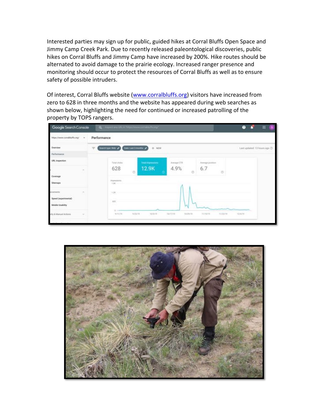Interested parties may sign up for public, guided hikes at Corral Bluffs Open Space and Jimmy Camp Creek Park. Due to recently released paleontological discoveries, public hikes on Corral Bluffs and Jimmy Camp have increased by 200%. Hike routes should be alternated to avoid damage to the prairie ecology. Increased ranger presence and monitoring should occur to protect the resources of Corral Bluffs as well as to ensure safety of possible intruders.

Of interest, Corral Bluffs website (www.corralbluffs.org) visitors have increased from zero to 628 in three months and the website has appeared during web searches as shown below, highlighting the need for continued or increased patrolling of the property by TOPS rangers.



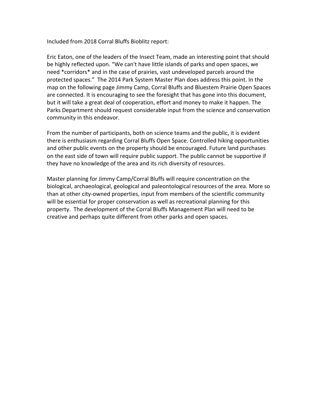Included from 2018 Corral Bluffs Bioblitz report:

Eric Eaton, one of the leaders of the Insect Team, made an interesting point that should be highly reflected upon. "We can't have little islands of parks and open spaces, we need \*corridors\* and in the case of prairies, vast undeveloped parcels around the protected spaces." The 2014 Park System Master Plan does address this point. In the map on the following page Jimmy Camp, Corral Bluffs and Bluestem Prairie Open Spaces are connected. It is encouraging to see the foresight that has gone into this document, but it will take a great deal of cooperation, effort and money to make it happen. The Parks Department should request considerable input from the science and conservation community in this endeavor.

From the number of participants, both on science teams and the public, it is evident there is enthusiasm regarding Corral Bluffs Open Space. Controlled hiking opportunities and other public events on the property should be encouraged. Future land purchases on the east side of town will require public support. The public cannot be supportive if they have no knowledge of the area and its rich diversity of resources.

Master planning for Jimmy Camp/Corral Bluffs will require concentration on the biological, archaeological, geological and paleontological resources of the area. More so than at other city-owned properties, input from members of the scientific community will be essential for proper conservation as well as recreational planning for this property. The development of the Corral Bluffs Management Plan will need to be creative and perhaps quite different from other parks and open spaces.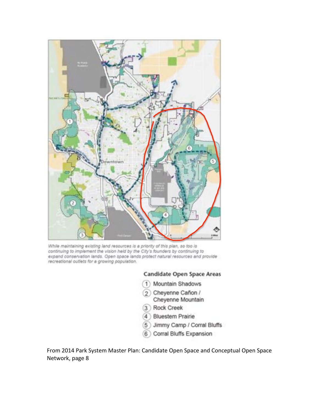

While maintaining existing land resources is a priority of this plan, so too is continuing to implement the vision held by the City's founders by continuing to expand conservation lands. Open space lands protect natural resources and provide recreational outlets for a growing population.

#### **Candidate Open Space Areas**

- 1) Mountain Shadows
- 2 Cheyenne Cañon / Cheyenne Mountain
- 3 Rock Creek
- 4 Bluestem Prairie
- 5 Jimmy Camp / Corral Bluffs
- 6 Corral Bluffs Expansion

From 2014 Park System Master Plan: Candidate Open Space and Conceptual Open Space Network, page 8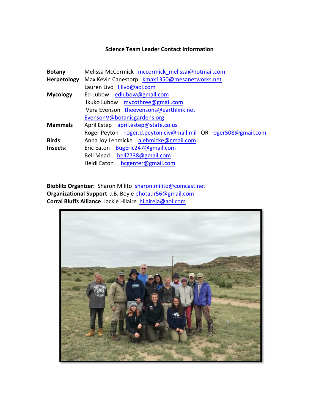#### **Science Team Leader Contact Information**

| Melissa McCormick mccormick melissa@hotmail.com                |  |  |  |
|----------------------------------------------------------------|--|--|--|
| Max Kevin Canestorp kmax1350@mesanetworks.net                  |  |  |  |
| Lauren Livo lilivo@aol.com                                     |  |  |  |
| Ed Lubow edlubow@gmail.com                                     |  |  |  |
| Ikuko Lubow mycothree@gmail.com                                |  |  |  |
| Vera Evenson theevensons@earthlink.net                         |  |  |  |
| EvensonV@botanicgardens.org                                    |  |  |  |
| April Estep april.estep@state.co.us                            |  |  |  |
| Roger Peyton roger.d.peyton.civ@mail.mil OR roger508@gmail.com |  |  |  |
| Anna Joy Lehmicke alehmicke@gmail.com                          |  |  |  |
| Eric Eaton BugEric247@gmail.com                                |  |  |  |
| Bell Mead bell7738@gmail.com                                   |  |  |  |
| Heidi Eaton hcgenter@gmail.com                                 |  |  |  |
|                                                                |  |  |  |

Bioblitz Organizer: Sharon Milito sharon.milito@comcast.net **Organizational Support** J.B. Boyle photaur56@gmail.com **Corral Bluffs Alliance** Jackie Hilaire **hilaireja@aol.com**